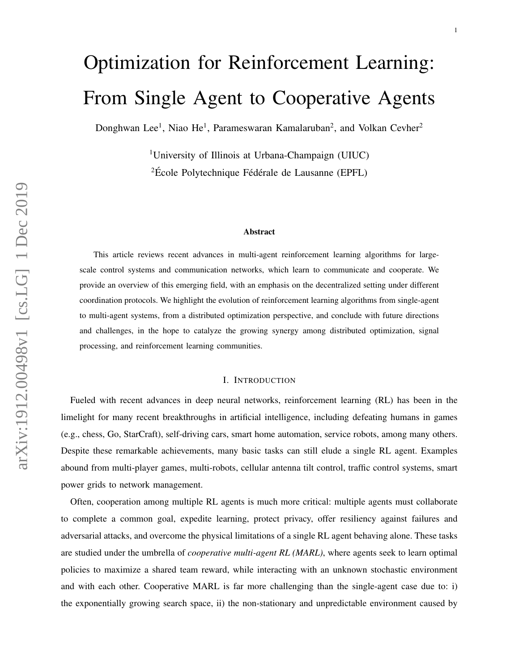# Optimization for Reinforcement Learning: From Single Agent to Cooperative Agents

Donghwan Lee<sup>1</sup>, Niao He<sup>1</sup>, Parameswaran Kamalaruban<sup>2</sup>, and Volkan Cevher<sup>2</sup>

<sup>1</sup>University of Illinois at Urbana-Champaign (UIUC)  ${}^{2}$ École Polytechnique Fédérale de Lausanne (EPFL)

#### Abstract

This article reviews recent advances in multi-agent reinforcement learning algorithms for largescale control systems and communication networks, which learn to communicate and cooperate. We provide an overview of this emerging field, with an emphasis on the decentralized setting under different coordination protocols. We highlight the evolution of reinforcement learning algorithms from single-agent to multi-agent systems, from a distributed optimization perspective, and conclude with future directions and challenges, in the hope to catalyze the growing synergy among distributed optimization, signal processing, and reinforcement learning communities.

## I. INTRODUCTION

Fueled with recent advances in deep neural networks, reinforcement learning (RL) has been in the limelight for many recent breakthroughs in artificial intelligence, including defeating humans in games (e.g., chess, Go, StarCraft), self-driving cars, smart home automation, service robots, among many others. Despite these remarkable achievements, many basic tasks can still elude a single RL agent. Examples abound from multi-player games, multi-robots, cellular antenna tilt control, traffic control systems, smart power grids to network management.

Often, cooperation among multiple RL agents is much more critical: multiple agents must collaborate to complete a common goal, expedite learning, protect privacy, offer resiliency against failures and adversarial attacks, and overcome the physical limitations of a single RL agent behaving alone. These tasks are studied under the umbrella of *cooperative multi-agent RL (MARL)*, where agents seek to learn optimal policies to maximize a shared team reward, while interacting with an unknown stochastic environment and with each other. Cooperative MARL is far more challenging than the single-agent case due to: i) the exponentially growing search space, ii) the non-stationary and unpredictable environment caused by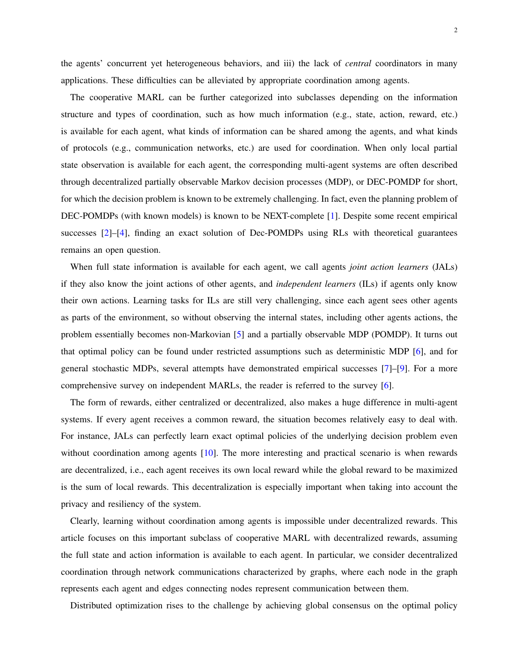The cooperative MARL can be further categorized into subclasses depending on the information structure and types of coordination, such as how much information (e.g., state, action, reward, etc.) is available for each agent, what kinds of information can be shared among the agents, and what kinds of protocols (e.g., communication networks, etc.) are used for coordination. When only local partial state observation is available for each agent, the corresponding multi-agent systems are often described through decentralized partially observable Markov decision processes (MDP), or DEC-POMDP for short, for which the decision problem is known to be extremely challenging. In fact, even the planning problem of DEC-POMDPs (with known models) is known to be NEXT-complete [\[1\]](#page-19-0). Despite some recent empirical successes [\[2\]](#page-19-1)–[\[4\]](#page-19-2), finding an exact solution of Dec-POMDPs using RLs with theoretical guarantees remains an open question.

When full state information is available for each agent, we call agents *joint action learners* (JALs) if they also know the joint actions of other agents, and *independent learners* (ILs) if agents only know their own actions. Learning tasks for ILs are still very challenging, since each agent sees other agents as parts of the environment, so without observing the internal states, including other agents actions, the problem essentially becomes non-Markovian [\[5\]](#page-19-3) and a partially observable MDP (POMDP). It turns out that optimal policy can be found under restricted assumptions such as deterministic MDP [\[6\]](#page-19-4), and for general stochastic MDPs, several attempts have demonstrated empirical successes [\[7\]](#page-19-5)–[\[9\]](#page-20-0). For a more comprehensive survey on independent MARLs, the reader is referred to the survey [\[6\]](#page-19-4).

The form of rewards, either centralized or decentralized, also makes a huge difference in multi-agent systems. If every agent receives a common reward, the situation becomes relatively easy to deal with. For instance, JALs can perfectly learn exact optimal policies of the underlying decision problem even without coordination among agents [\[10\]](#page-20-1). The more interesting and practical scenario is when rewards are decentralized, i.e., each agent receives its own local reward while the global reward to be maximized is the sum of local rewards. This decentralization is especially important when taking into account the privacy and resiliency of the system.

Clearly, learning without coordination among agents is impossible under decentralized rewards. This article focuses on this important subclass of cooperative MARL with decentralized rewards, assuming the full state and action information is available to each agent. In particular, we consider decentralized coordination through network communications characterized by graphs, where each node in the graph represents each agent and edges connecting nodes represent communication between them.

Distributed optimization rises to the challenge by achieving global consensus on the optimal policy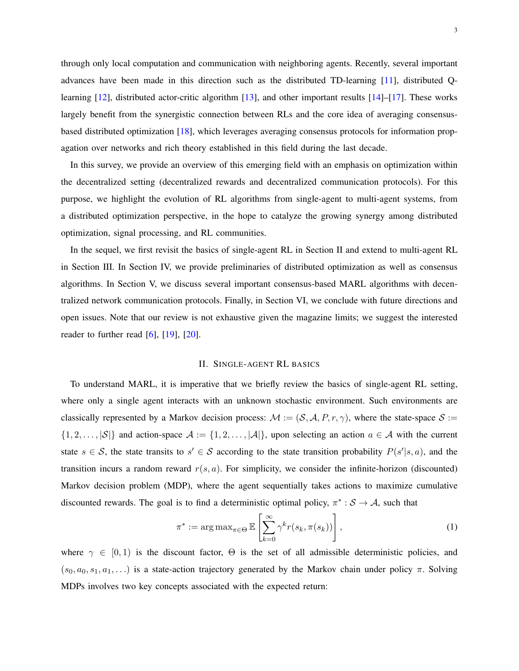through only local computation and communication with neighboring agents. Recently, several important advances have been made in this direction such as the distributed TD-learning [\[11\]](#page-20-2), distributed Q-learning [\[12\]](#page-20-3), distributed actor-critic algorithm [\[13\]](#page-20-4), and other important results [\[14\]](#page-20-5)–[\[17\]](#page-20-6). These works largely benefit from the synergistic connection between RLs and the core idea of averaging consensusbased distributed optimization [\[18\]](#page-20-7), which leverages averaging consensus protocols for information propagation over networks and rich theory established in this field during the last decade.

In this survey, we provide an overview of this emerging field with an emphasis on optimization within the decentralized setting (decentralized rewards and decentralized communication protocols). For this purpose, we highlight the evolution of RL algorithms from single-agent to multi-agent systems, from a distributed optimization perspective, in the hope to catalyze the growing synergy among distributed optimization, signal processing, and RL communities.

In the sequel, we first revisit the basics of single-agent RL in Section II and extend to multi-agent RL in Section III. In Section IV, we provide preliminaries of distributed optimization as well as consensus algorithms. In Section V, we discuss several important consensus-based MARL algorithms with decentralized network communication protocols. Finally, in Section VI, we conclude with future directions and open issues. Note that our review is not exhaustive given the magazine limits; we suggest the interested reader to further read  $[6]$ ,  $[19]$ ,  $[20]$ .

# II. SINGLE-AGENT RL BASICS

To understand MARL, it is imperative that we briefly review the basics of single-agent RL setting, where only a single agent interacts with an unknown stochastic environment. Such environments are classically represented by a Markov decision process:  $M := (S, A, P, r, \gamma)$ , where the state-space  $S :=$  $\{1, 2, \ldots, |\mathcal{S}|\}$  and action-space  $\mathcal{A} := \{1, 2, \ldots, |\mathcal{A}|\}$ , upon selecting an action  $a \in \mathcal{A}$  with the current state  $s \in S$ , the state transits to  $s' \in S$  according to the state transition probability  $P(s'|s, a)$ , and the transition incurs a random reward  $r(s, a)$ . For simplicity, we consider the infinite-horizon (discounted) Markov decision problem (MDP), where the agent sequentially takes actions to maximize cumulative discounted rewards. The goal is to find a deterministic optimal policy,  $\pi^* : \mathcal{S} \to \mathcal{A}$ , such that

$$
\pi^* := \arg \max_{\pi \in \Theta} \mathbb{E} \left[ \sum_{k=0}^{\infty} \gamma^k r(s_k, \pi(s_k)) \right], \tag{1}
$$

where  $\gamma \in [0, 1)$  is the discount factor,  $\Theta$  is the set of all admissible deterministic policies, and  $(s_0, a_0, s_1, a_1, \ldots)$  is a state-action trajectory generated by the Markov chain under policy  $\pi$ . Solving MDPs involves two key concepts associated with the expected return: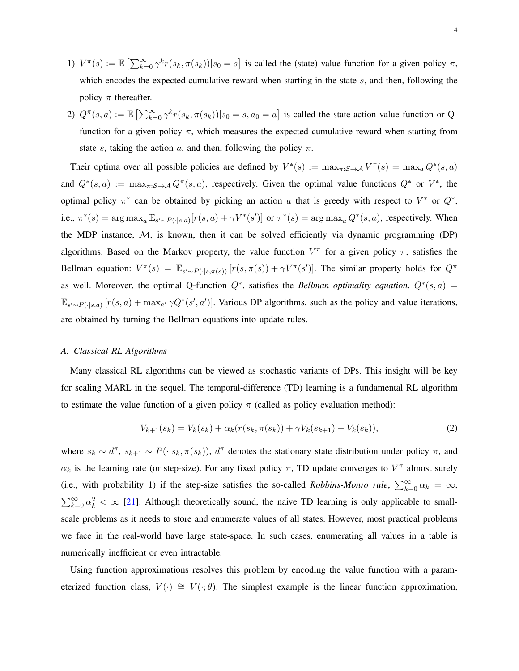- 1)  $V^{\pi}(s) := \mathbb{E} \left[ \sum_{k=0}^{\infty} \gamma^k r(s_k, \pi(s_k)) | s_0 = s \right]$  is called the (state) value function for a given policy  $\pi$ , which encodes the expected cumulative reward when starting in the state s, and then, following the policy  $\pi$  thereafter.
- 2)  $Q^{\pi}(s, a) := \mathbb{E} \left[ \sum_{k=0}^{\infty} \gamma^k r(s_k, \pi(s_k)) | s_0 = s, a_0 = a \right]$  is called the state-action value function or Qfunction for a given policy  $\pi$ , which measures the expected cumulative reward when starting from state s, taking the action a, and then, following the policy  $\pi$ .

Their optima over all possible policies are defined by  $V^*(s) := \max_{\pi: S \to A} V^{\pi}(s) = \max_a Q^*(s, a)$ and  $Q^*(s, a) := \max_{\pi: S \to A} Q^{\pi}(s, a)$ , respectively. Given the optimal value functions  $Q^*$  or  $V^*$ , the optimal policy  $\pi^*$  can be obtained by picking an action a that is greedy with respect to  $V^*$  or  $Q^*$ , i.e.,  $\pi^*(s) = \arg \max_a \mathbb{E}_{s' \sim P(\cdot | s, a)} [r(s, a) + \gamma V^*(s')]$  or  $\pi^*(s) = \arg \max_a Q^*(s, a)$ , respectively. When the MDP instance,  $M$ , is known, then it can be solved efficiently via dynamic programming (DP) algorithms. Based on the Markov property, the value function  $V^{\pi}$  for a given policy  $\pi$ , satisfies the Bellman equation:  $V^{\pi}(s) = \mathbb{E}_{s' \sim P(\cdot | s, \pi(s))} [r(s, \pi(s)) + \gamma V^{\pi}(s')]$ . The similar property holds for  $Q^{\pi}$ as well. Moreover, the optimal Q-function  $Q^*$ , satisfies the *Bellman optimality equation*,  $Q^*(s, a)$  =  $\mathbb{E}_{s' \sim P(\cdot|s,a)} [r(s,a) + \max_{a'} \gamma Q^*(s',a')]$ . Various DP algorithms, such as the policy and value iterations, are obtained by turning the Bellman equations into update rules.

### *A. Classical RL Algorithms*

Many classical RL algorithms can be viewed as stochastic variants of DPs. This insight will be key for scaling MARL in the sequel. The temporal-difference (TD) learning is a fundamental RL algorithm to estimate the value function of a given policy  $\pi$  (called as policy evaluation method):

$$
V_{k+1}(s_k) = V_k(s_k) + \alpha_k(r(s_k, \pi(s_k)) + \gamma V_k(s_{k+1}) - V_k(s_k)),
$$
\n(2)

where  $s_k \sim d^{\pi}$ ,  $s_{k+1} \sim P(\cdot|s_k, \pi(s_k))$ ,  $d^{\pi}$  denotes the stationary state distribution under policy  $\pi$ , and  $\alpha_k$  is the learning rate (or step-size). For any fixed policy  $\pi$ , TD update converges to  $V^{\pi}$  almost surely (i.e., with probability 1) if the step-size satisfies the so-called *Robbins-Monro rule*,  $\sum_{k=0}^{\infty} \alpha_k = \infty$ ,  $\sum_{k=0}^{\infty} \alpha_k^2 < \infty$  [\[21\]](#page-20-10). Although theoretically sound, the naive TD learning is only applicable to smallscale problems as it needs to store and enumerate values of all states. However, most practical problems we face in the real-world have large state-space. In such cases, enumerating all values in a table is numerically inefficient or even intractable.

Using function approximations resolves this problem by encoding the value function with a parameterized function class,  $V(\cdot) \cong V(\cdot;\theta)$ . The simplest example is the linear function approximation,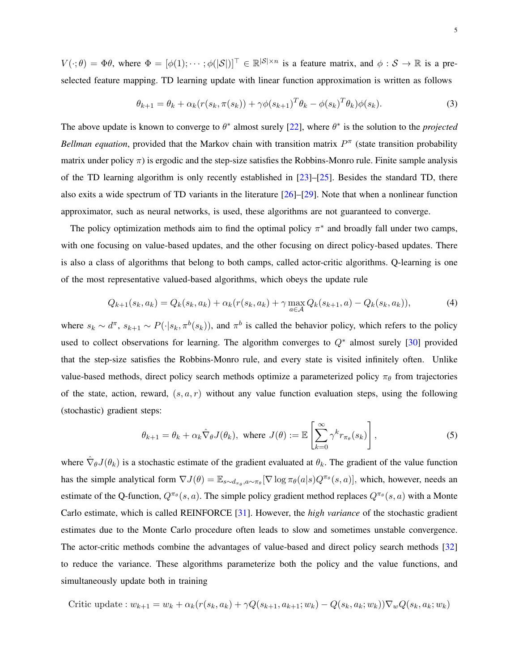$V(\cdot;\theta) = \Phi\theta$ , where  $\Phi = [\phi(1); \cdots; \phi(|\mathcal{S}|)]^{\top} \in \mathbb{R}^{|\mathcal{S}| \times n}$  is a feature matrix, and  $\phi: \mathcal{S} \to \mathbb{R}$  is a preselected feature mapping. TD learning update with linear function approximation is written as follows

$$
\theta_{k+1} = \theta_k + \alpha_k (r(s_k, \pi(s_k)) + \gamma \phi(s_{k+1})^T \theta_k - \phi(s_k)^T \theta_k) \phi(s_k).
$$
\n(3)

The above update is known to converge to  $\theta^*$  almost surely [\[22\]](#page-20-11), where  $\theta^*$  is the solution to the *projected Bellman equation*, provided that the Markov chain with transition matrix  $P^{\pi}$  (state transition probability matrix under policy  $\pi$ ) is ergodic and the step-size satisfies the Robbins-Monro rule. Finite sample analysis of the TD learning algorithm is only recently established in  $[23]$ – $[25]$ . Besides the standard TD, there also exits a wide spectrum of TD variants in the literature [\[26\]](#page-20-14)–[\[29\]](#page-21-0). Note that when a nonlinear function approximator, such as neural networks, is used, these algorithms are not guaranteed to converge.

The policy optimization methods aim to find the optimal policy  $\pi^*$  and broadly fall under two camps, with one focusing on value-based updates, and the other focusing on direct policy-based updates. There is also a class of algorithms that belong to both camps, called actor-critic algorithms. Q-learning is one of the most representative valued-based algorithms, which obeys the update rule

$$
Q_{k+1}(s_k, a_k) = Q_k(s_k, a_k) + \alpha_k (r(s_k, a_k) + \gamma \max_{a \in \mathcal{A}} Q_k(s_{k+1}, a) - Q_k(s_k, a_k)),
$$
\n(4)

where  $s_k \sim d^{\pi}$ ,  $s_{k+1} \sim P(\cdot | s_k, \pi^b(s_k))$ , and  $\pi^b$  is called the behavior policy, which refers to the policy used to collect observations for learning. The algorithm converges to  $Q^*$  almost surely [\[30\]](#page-21-1) provided that the step-size satisfies the Robbins-Monro rule, and every state is visited infinitely often. Unlike value-based methods, direct policy search methods optimize a parameterized policy  $\pi_{\theta}$  from trajectories of the state, action, reward,  $(s, a, r)$  without any value function evaluation steps, using the following (stochastic) gradient steps:

$$
\theta_{k+1} = \theta_k + \alpha_k \hat{\nabla}_{\theta} J(\theta_k), \text{ where } J(\theta) := \mathbb{E} \left[ \sum_{k=0}^{\infty} \gamma^k r_{\pi_{\theta}}(s_k) \right], \tag{5}
$$

where  $\hat{\nabla}_{\theta}J(\theta_k)$  is a stochastic estimate of the gradient evaluated at  $\theta_k$ . The gradient of the value function has the simple analytical form  $\nabla J(\theta) = \mathbb{E}_{s \sim d_{\pi_{\theta}}, a \sim \pi_{\theta}} [\nabla \log \pi_{\theta}(a|s) Q^{\pi_{\theta}}(s, a)]$ , which, however, needs an estimate of the Q-function,  $Q^{\pi_{\theta}}(s, a)$ . The simple policy gradient method replaces  $Q^{\pi_{\theta}}(s, a)$  with a Monte Carlo estimate, which is called REINFORCE [\[31\]](#page-21-2). However, the *high variance* of the stochastic gradient estimates due to the Monte Carlo procedure often leads to slow and sometimes unstable convergence. The actor-critic methods combine the advantages of value-based and direct policy search methods [\[32\]](#page-21-3) to reduce the variance. These algorithms parameterize both the policy and the value functions, and simultaneously update both in training

Critic update :  $w_{k+1} = w_k + \alpha_k (r(s_k, a_k) + \gamma Q(s_{k+1}, a_{k+1}; w_k) - Q(s_k, a_k; w_k)) \nabla_w Q(s_k, a_k; w_k)$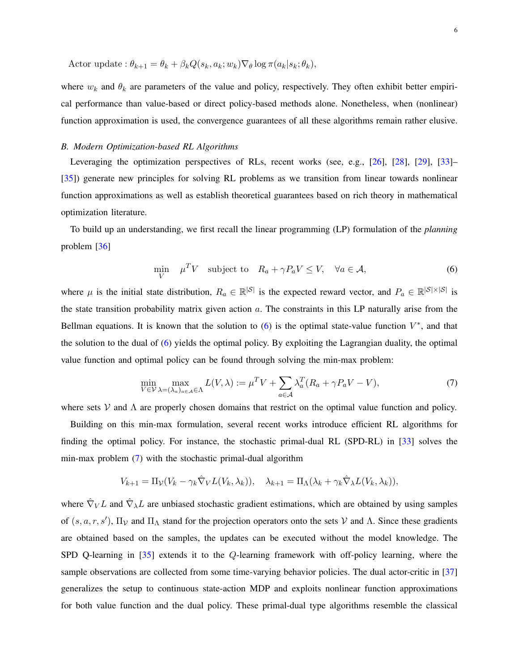Actor update :  $\theta_{k+1} = \theta_k + \beta_k Q(s_k, a_k; w_k) \nabla_{\theta} \log \pi(a_k|s_k; \theta_k),$ 

where  $w_k$  and  $\theta_k$  are parameters of the value and policy, respectively. They often exhibit better empirical performance than value-based or direct policy-based methods alone. Nonetheless, when (nonlinear) function approximation is used, the convergence guarantees of all these algorithms remain rather elusive.

# <span id="page-5-2"></span>*B. Modern Optimization-based RL Algorithms*

Leveraging the optimization perspectives of RLs, recent works (see, e.g., [\[26\]](#page-20-14), [\[28\]](#page-20-15), [\[29\]](#page-21-0), [\[33\]](#page-21-4)– [\[35\]](#page-21-5)) generate new principles for solving RL problems as we transition from linear towards nonlinear function approximations as well as establish theoretical guarantees based on rich theory in mathematical optimization literature.

To build up an understanding, we first recall the linear programming (LP) formulation of the *planning* problem [\[36\]](#page-21-6)

<span id="page-5-0"></span>
$$
\min_{V} \quad \mu^T V \quad \text{subject to} \quad R_a + \gamma P_a V \le V, \quad \forall a \in \mathcal{A}, \tag{6}
$$

where  $\mu$  is the initial state distribution,  $R_a \in \mathbb{R}^{|\mathcal{S}|}$  is the expected reward vector, and  $P_a \in \mathbb{R}^{|\mathcal{S}| \times |\mathcal{S}|}$  is the state transition probability matrix given action  $a$ . The constraints in this LP naturally arise from the Bellman equations. It is known that the solution to  $(6)$  is the optimal state-value function  $V^*$ , and that the solution to the dual of [\(6\)](#page-5-0) yields the optimal policy. By exploiting the Lagrangian duality, the optimal value function and optimal policy can be found through solving the min-max problem:

<span id="page-5-1"></span>
$$
\min_{V \in \mathcal{V}} \max_{\lambda = (\lambda_a)_{a \in \mathcal{A}} \in \Lambda} L(V, \lambda) := \mu^T V + \sum_{a \in \mathcal{A}} \lambda_a^T (R_a + \gamma P_a V - V), \tag{7}
$$

where sets  $V$  and  $\Lambda$  are properly chosen domains that restrict on the optimal value function and policy.

Building on this min-max formulation, several recent works introduce efficient RL algorithms for finding the optimal policy. For instance, the stochastic primal-dual RL (SPD-RL) in [\[33\]](#page-21-4) solves the min-max problem [\(7\)](#page-5-1) with the stochastic primal-dual algorithm

$$
V_{k+1} = \Pi_{\mathcal{V}}(V_k - \gamma_k \hat{\nabla}_V L(V_k, \lambda_k)), \quad \lambda_{k+1} = \Pi_{\Lambda}(\lambda_k + \gamma_k \hat{\nabla}_{\lambda} L(V_k, \lambda_k)),
$$

where  $\hat{\nabla}_V L$  and  $\hat{\nabla}_\lambda L$  are unbiased stochastic gradient estimations, which are obtained by using samples of  $(s, a, r, s')$ ,  $\Pi_{\mathcal{V}}$  and  $\Pi_{\Lambda}$  stand for the projection operators onto the sets V and  $\Lambda$ . Since these gradients are obtained based on the samples, the updates can be executed without the model knowledge. The SPD Q-learning in [\[35\]](#page-21-5) extends it to the Q-learning framework with off-policy learning, where the sample observations are collected from some time-varying behavior policies. The dual actor-critic in [\[37\]](#page-21-7) generalizes the setup to continuous state-action MDP and exploits nonlinear function approximations for both value function and the dual policy. These primal-dual type algorithms resemble the classical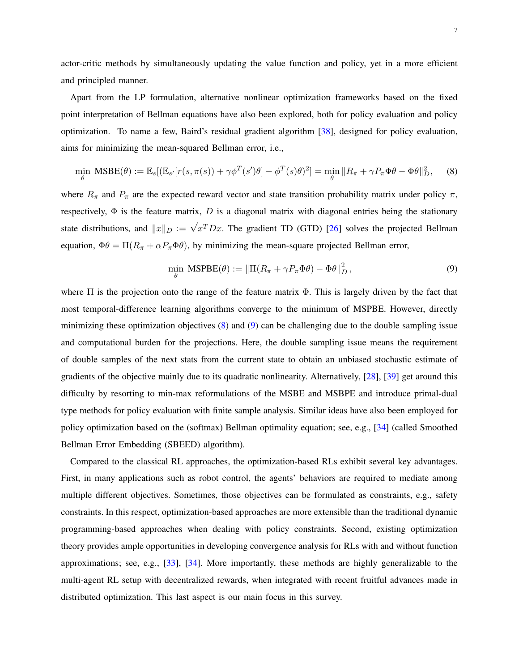actor-critic methods by simultaneously updating the value function and policy, yet in a more efficient and principled manner.

Apart from the LP formulation, alternative nonlinear optimization frameworks based on the fixed point interpretation of Bellman equations have also been explored, both for policy evaluation and policy optimization. To name a few, Baird's residual gradient algorithm [\[38\]](#page-21-8), designed for policy evaluation, aims for minimizing the mean-squared Bellman error, i.e.,

$$
\min_{\theta} \text{MSBE}(\theta) := \mathbb{E}_{s} [(\mathbb{E}_{s'}[r(s,\pi(s)) + \gamma \phi^{T}(s')\theta] - \phi^{T}(s)\theta)^{2}] = \min_{\theta} ||R_{\pi} + \gamma P_{\pi} \Phi \theta - \Phi \theta||_{D}^{2}, \quad (8)
$$

where  $R_{\pi}$  and  $P_{\pi}$  are the expected reward vector and state transition probability matrix under policy  $\pi$ , respectively,  $\Phi$  is the feature matrix, D is a diagonal matrix with diagonal entries being the stationary state distributions, and  $||x||_D := \sqrt{x^T Dx}$ . The gradient TD (GTD) [\[26\]](#page-20-14) solves the projected Bellman equation,  $\Phi\theta = \Pi(R_{\pi} + \alpha P_{\pi} \Phi\theta)$ , by minimizing the mean-square projected Bellman error,

<span id="page-6-1"></span><span id="page-6-0"></span>
$$
\min_{\theta} \text{MSPBE}(\theta) := \|\Pi(R_{\pi} + \gamma P_{\pi} \Phi \theta) - \Phi \theta\|_{D}^{2},\tag{9}
$$

where  $\Pi$  is the projection onto the range of the feature matrix  $\Phi$ . This is largely driven by the fact that most temporal-difference learning algorithms converge to the minimum of MSPBE. However, directly minimizing these optimization objectives  $(8)$  and  $(9)$  can be challenging due to the double sampling issue and computational burden for the projections. Here, the double sampling issue means the requirement of double samples of the next stats from the current state to obtain an unbiased stochastic estimate of gradients of the objective mainly due to its quadratic nonlinearity. Alternatively, [\[28\]](#page-20-15), [\[39\]](#page-21-9) get around this difficulty by resorting to min-max reformulations of the MSBE and MSBPE and introduce primal-dual type methods for policy evaluation with finite sample analysis. Similar ideas have also been employed for policy optimization based on the (softmax) Bellman optimality equation; see, e.g., [\[34\]](#page-21-10) (called Smoothed Bellman Error Embedding (SBEED) algorithm).

Compared to the classical RL approaches, the optimization-based RLs exhibit several key advantages. First, in many applications such as robot control, the agents' behaviors are required to mediate among multiple different objectives. Sometimes, those objectives can be formulated as constraints, e.g., safety constraints. In this respect, optimization-based approaches are more extensible than the traditional dynamic programming-based approaches when dealing with policy constraints. Second, existing optimization theory provides ample opportunities in developing convergence analysis for RLs with and without function approximations; see, e.g., [\[33\]](#page-21-4), [\[34\]](#page-21-10). More importantly, these methods are highly generalizable to the multi-agent RL setup with decentralized rewards, when integrated with recent fruitful advances made in distributed optimization. This last aspect is our main focus in this survey.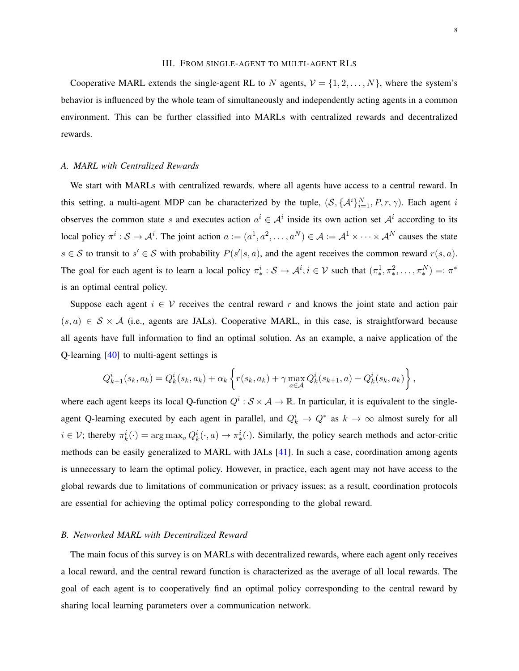#### III. FROM SINGLE-AGENT TO MULTI-AGENT RLS

<span id="page-7-0"></span>Cooperative MARL extends the single-agent RL to N agents,  $V = \{1, 2, ..., N\}$ , where the system's behavior is influenced by the whole team of simultaneously and independently acting agents in a common environment. This can be further classified into MARLs with centralized rewards and decentralized rewards.

#### *A. MARL with Centralized Rewards*

We start with MARLs with centralized rewards, where all agents have access to a central reward. In this setting, a multi-agent MDP can be characterized by the tuple,  $(S, \{A^i\}_{i=1}^N, P, r, \gamma)$ . Each agent i observes the common state s and executes action  $a^i \in A^i$  inside its own action set  $A^i$  according to its local policy  $\pi^i: \mathcal{S} \to \mathcal{A}^i$ . The joint action  $a := (a^1, a^2, \dots, a^N) \in \mathcal{A} := \mathcal{A}^1 \times \dots \times \mathcal{A}^N$  causes the state  $s \in S$  to transit to  $s' \in S$  with probability  $P(s'|s, a)$ , and the agent receives the common reward  $r(s, a)$ . The goal for each agent is to learn a local policy  $\pi^i_* : S \to A^i, i \in V$  such that  $(\pi^1_*, \pi^2_*, \dots, \pi^N_*) =: \pi^*$ is an optimal central policy.

Suppose each agent  $i \in V$  receives the central reward r and knows the joint state and action pair  $(s, a) \in S \times A$  (i.e., agents are JALs). Cooperative MARL, in this case, is straightforward because all agents have full information to find an optimal solution. As an example, a naive application of the Q-learning [\[40\]](#page-21-11) to multi-agent settings is

$$
Q_{k+1}^i(s_k, a_k) = Q_k^i(s_k, a_k) + \alpha_k \left\{ r(s_k, a_k) + \gamma \max_{a \in \mathcal{A}} Q_k^i(s_{k+1}, a) - Q_k^i(s_k, a_k) \right\},\,
$$

where each agent keeps its local Q-function  $Q^i : S \times A \to \mathbb{R}$ . In particular, it is equivalent to the singleagent Q-learning executed by each agent in parallel, and  $Q_k^i \rightarrow Q^*$  as  $k \rightarrow \infty$  almost surely for all  $i \in V$ ; thereby  $\pi_k^i(\cdot) = \arg \max_a Q_k^i(\cdot, a) \to \pi_*^i(\cdot)$ . Similarly, the policy search methods and actor-critic methods can be easily generalized to MARL with JALs [\[41\]](#page-21-12). In such a case, coordination among agents is unnecessary to learn the optimal policy. However, in practice, each agent may not have access to the global rewards due to limitations of communication or privacy issues; as a result, coordination protocols are essential for achieving the optimal policy corresponding to the global reward.

#### *B. Networked MARL with Decentralized Reward*

The main focus of this survey is on MARLs with decentralized rewards, where each agent only receives a local reward, and the central reward function is characterized as the average of all local rewards. The goal of each agent is to cooperatively find an optimal policy corresponding to the central reward by sharing local learning parameters over a communication network.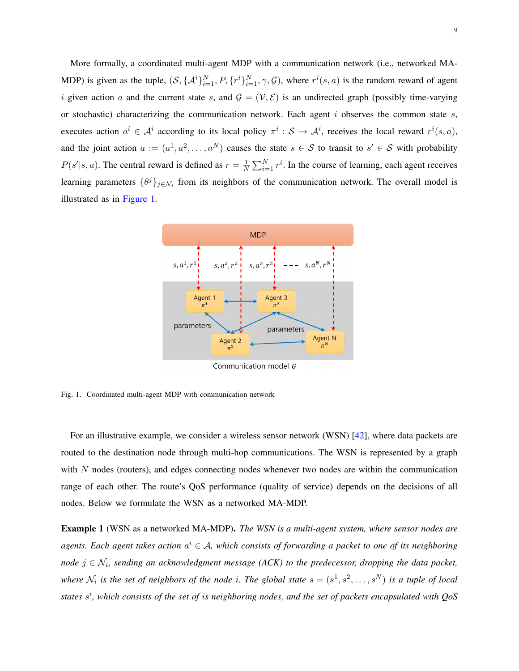More formally, a coordinated multi-agent MDP with a communication network (i.e., networked MA-MDP) is given as the tuple,  $(S, \{A^i\}_{i=1}^N, P, \{r^i\}_{i=1}^N, \gamma, \mathcal{G})$ , where  $r^i(s, a)$  is the random reward of agent i given action a and the current state s, and  $\mathcal{G} = (\mathcal{V}, \mathcal{E})$  is an undirected graph (possibly time-varying or stochastic) characterizing the communication network. Each agent  $i$  observes the common state  $s$ , executes action  $a^i \in A^i$  according to its local policy  $\pi^i : S \to A^i$ , receives the local reward  $r^i(s, a)$ , and the joint action  $a := (a^1, a^2, \dots, a^N)$  causes the state  $s \in S$  to transit to  $s' \in S$  with probability  $P(s'|s, a)$ . The central reward is defined as  $r = \frac{1}{N}$  $\frac{1}{N} \sum_{i=1}^{N} r^{i}$ . In the course of learning, each agent receives learning parameters  $\{\theta^j\}_{j\in\mathcal{N}_i}$  from its neighbors of the communication network. The overall model is illustrated as in [Figure 1.](#page-8-0)



<span id="page-8-0"></span>Communication model G

Fig. 1. Coordinated multi-agent MDP with communication network

For an illustrative example, we consider a wireless sensor network (WSN) [\[42\]](#page-21-13), where data packets are routed to the destination node through multi-hop communications. The WSN is represented by a graph with N nodes (routers), and edges connecting nodes whenever two nodes are within the communication range of each other. The route's QoS performance (quality of service) depends on the decisions of all nodes. Below we formulate the WSN as a networked MA-MDP.

Example 1 (WSN as a networked MA-MDP). *The WSN is a multi-agent system, where sensor nodes are*  $a$ gents. Each agent takes action  $a^i \in A$ , which consists of forwarding a packet to one of its neighboring *node* j ∈ N<sup>i</sup> *, sending an acknowledgment message (ACK) to the predecessor, dropping the data packet,* where  $\mathcal{N}_i$  is the set of neighbors of the node *i*. The global state  $s = (s^1, s^2, \ldots, s^N)$  is a tuple of local *states* s i *, which consists of the set of* i*s neighboring nodes, and the set of packets encapsulated with QoS*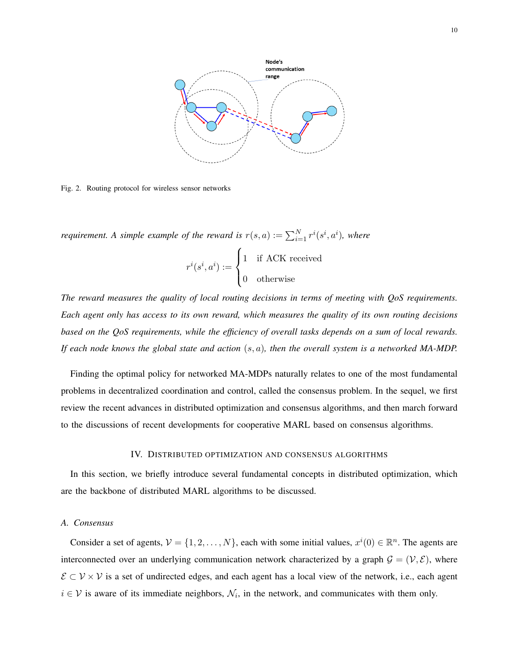

Fig. 2. Routing protocol for wireless sensor networks

*requirement.* A simple example of the reward is  $r(s, a) := \sum_{i=1}^{N} r^{i}(s^{i}, a^{i})$ , where  $r^i(s^i,a^i):=$  $\sqrt{ }$ 1 if ACK received

$$
\begin{cases} 0 & \text{otherwise} \end{cases}
$$

*The reward measures the quality of local routing decisions in terms of meeting with QoS requirements. Each agent only has access to its own reward, which measures the quality of its own routing decisions based on the QoS requirements, while the efficiency of overall tasks depends on a sum of local rewards. If each node knows the global state and action* (s, a)*, then the overall system is a networked MA-MDP.*

Finding the optimal policy for networked MA-MDPs naturally relates to one of the most fundamental problems in decentralized coordination and control, called the consensus problem. In the sequel, we first review the recent advances in distributed optimization and consensus algorithms, and then march forward to the discussions of recent developments for cooperative MARL based on consensus algorithms.

#### IV. DISTRIBUTED OPTIMIZATION AND CONSENSUS ALGORITHMS

<span id="page-9-0"></span>In this section, we briefly introduce several fundamental concepts in distributed optimization, which are the backbone of distributed MARL algorithms to be discussed.

# *A. Consensus*

Consider a set of agents,  $V = \{1, 2, ..., N\}$ , each with some initial values,  $x^{i}(0) \in \mathbb{R}^{n}$ . The agents are interconnected over an underlying communication network characterized by a graph  $G = (V, \mathcal{E})$ , where  $\mathcal{E} \subset \mathcal{V} \times \mathcal{V}$  is a set of undirected edges, and each agent has a local view of the network, i.e., each agent  $i \in V$  is aware of its immediate neighbors,  $\mathcal{N}_i$ , in the network, and communicates with them only.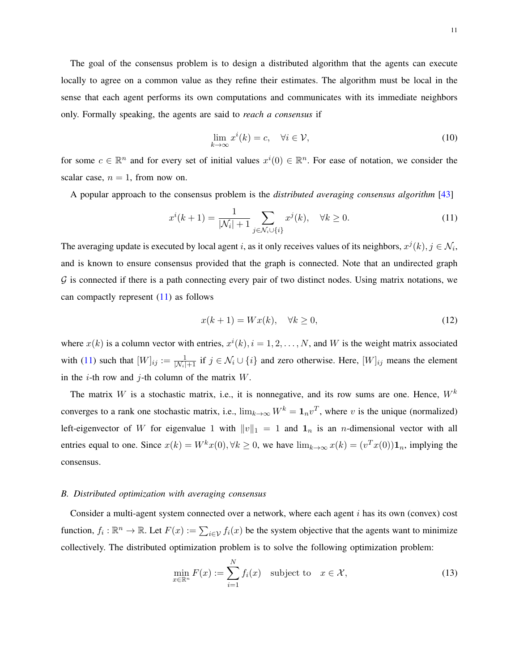The goal of the consensus problem is to design a distributed algorithm that the agents can execute locally to agree on a common value as they refine their estimates. The algorithm must be local in the sense that each agent performs its own computations and communicates with its immediate neighbors only. Formally speaking, the agents are said to *reach a consensus* if

<span id="page-10-0"></span>
$$
\lim_{k \to \infty} x^i(k) = c, \quad \forall i \in \mathcal{V}, \tag{10}
$$

for some  $c \in \mathbb{R}^n$  and for every set of initial values  $x^i(0) \in \mathbb{R}^n$ . For ease of notation, we consider the scalar case,  $n = 1$ , from now on.

A popular approach to the consensus problem is the *distributed averaging consensus algorithm* [\[43\]](#page-21-14)

$$
x^{i}(k+1) = \frac{1}{|\mathcal{N}_{i}|+1} \sum_{j \in \mathcal{N}_{i} \cup \{i\}} x^{j}(k), \quad \forall k \ge 0.
$$
 (11)

The averaging update is executed by local agent i, as it only receives values of its neighbors,  $x^j(k)$ ,  $j \in \mathcal{N}_i$ , and is known to ensure consensus provided that the graph is connected. Note that an undirected graph  $G$  is connected if there is a path connecting every pair of two distinct nodes. Using matrix notations, we can compactly represent  $(11)$  as follows

$$
x(k+1) = Wx(k), \quad \forall k \ge 0,
$$
\n<sup>(12)</sup>

where  $x(k)$  is a column vector with entries,  $x^{i}(k)$ ,  $i = 1, 2, ..., N$ , and W is the weight matrix associated with [\(11\)](#page-10-0) such that  $[W]_{ij} := \frac{1}{|N_i|+1}$  if  $j \in \mathcal{N}_i \cup \{i\}$  and zero otherwise. Here,  $[W]_{ij}$  means the element in the *i*-th row and *j*-th column of the matrix  $W$ .

The matrix W is a stochastic matrix, i.e., it is nonnegative, and its row sums are one. Hence,  $W^k$ converges to a rank one stochastic matrix, i.e.,  $\lim_{k\to\infty} W^k = \mathbf{1}_n v^T$ , where v is the unique (normalized) left-eigenvector of W for eigenvalue 1 with  $||v||_1 = 1$  and  $\mathbf{1}_n$  is an *n*-dimensional vector with all entries equal to one. Since  $x(k) = W^k x(0), \forall k \ge 0$ , we have  $\lim_{k \to \infty} x(k) = (v^T x(0)) \mathbf{1}_n$ , implying the consensus.

#### <span id="page-10-1"></span>*B. Distributed optimization with averaging consensus*

Consider a multi-agent system connected over a network, where each agent  $i$  has its own (convex) cost function,  $f_i: \mathbb{R}^n \to \mathbb{R}$ . Let  $F(x) := \sum_{i \in \mathcal{V}} f_i(x)$  be the system objective that the agents want to minimize collectively. The distributed optimization problem is to solve the following optimization problem:

$$
\min_{x \in \mathbb{R}^n} F(x) := \sum_{i=1}^N f_i(x) \quad \text{subject to} \quad x \in \mathcal{X},\tag{13}
$$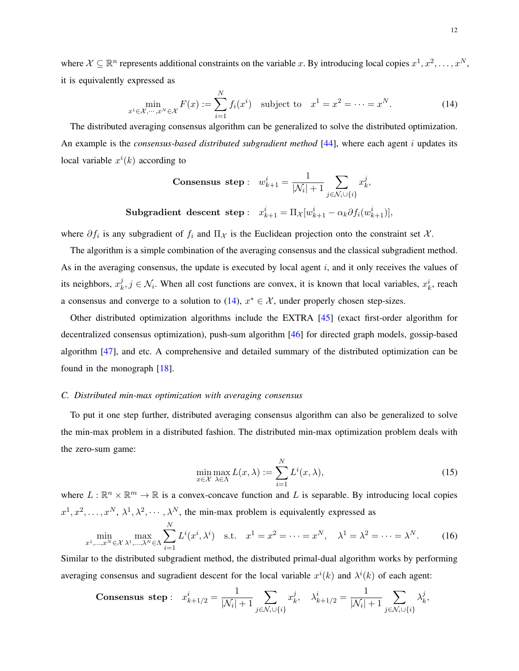where  $\mathcal{X} \subseteq \mathbb{R}^n$  represents additional constraints on the variable x. By introducing local copies  $x^1, x^2, \ldots, x^N$ , it is equivalently expressed as

$$
\min_{x^1 \in \mathcal{X}, \dots, x^N \in \mathcal{X}} F(x) := \sum_{i=1}^N f_i(x^i) \text{ subject to } x^1 = x^2 = \dots = x^N. \tag{14}
$$

The distributed averaging consensus algorithm can be generalized to solve the distributed optimization. An example is the *consensus-based distributed subgradient method* [\[44\]](#page-21-15), where each agent i updates its local variable  $x^{i}(k)$  according to

<span id="page-11-0"></span>**Consensus step**: 
$$
w_{k+1}^i = \frac{1}{|\mathcal{N}_i|+1} \sum_{j \in \mathcal{N}_i \cup \{i\}} x_k^j
$$
,

 $\textbf{Subgradient descent step}: \hspace{0.2cm} x_{k+1}^i = \Pi_{\mathcal{X}} [w_{k+1}^i - \alpha_k \partial f_i (w_{k+1}^i)],$ 

where  $\partial f_i$  is any subgradient of  $f_i$  and  $\Pi_{\mathcal{X}}$  is the Euclidean projection onto the constraint set  $\mathcal{X}$ .

The algorithm is a simple combination of the averaging consensus and the classical subgradient method. As in the averaging consensus, the update is executed by local agent  $i$ , and it only receives the values of its neighbors,  $x_k^j$  $x_k^j$ ,  $j \in \mathcal{N}_i$ . When all cost functions are convex, it is known that local variables,  $x_k^i$ , reach a consensus and converge to a solution to [\(14\)](#page-11-0),  $x^* \in \mathcal{X}$ , under properly chosen step-sizes.

Other distributed optimization algorithms include the EXTRA [\[45\]](#page-21-16) (exact first-order algorithm for decentralized consensus optimization), push-sum algorithm [\[46\]](#page-21-17) for directed graph models, gossip-based algorithm [\[47\]](#page-21-18), and etc. A comprehensive and detailed summary of the distributed optimization can be found in the monograph [\[18\]](#page-20-7).

## <span id="page-11-2"></span>*C. Distributed min-max optimization with averaging consensus*

To put it one step further, distributed averaging consensus algorithm can also be generalized to solve the min-max problem in a distributed fashion. The distributed min-max optimization problem deals with the zero-sum game:

<span id="page-11-1"></span>
$$
\min_{x \in \mathcal{X}} \max_{\lambda \in \Lambda} L(x, \lambda) := \sum_{i=1}^{N} L^{i}(x, \lambda),
$$
\n(15)

where  $L : \mathbb{R}^n \times \mathbb{R}^m \to \mathbb{R}$  is a convex-concave function and L is separable. By introducing local copies  $x^1, x^2, \ldots, x^N, \lambda^1, \lambda^2, \cdots, \lambda^N$ , the min-max problem is equivalently expressed as

$$
\min_{x^1,\dots,x^N\in\mathcal{X}} \max_{\lambda^1,\dots,\lambda^N\in\Lambda} \sum_{i=1}^N L^i(x^i,\lambda^i) \quad \text{s.t.} \quad x^1 = x^2 = \dots = x^N, \quad \lambda^1 = \lambda^2 = \dots = \lambda^N. \tag{16}
$$

Similar to the distributed subgradient method, the distributed primal-dual algorithm works by performing averaging consensus and sugradient descent for the local variable  $x^{i}(k)$  and  $\lambda^{i}(k)$  of each agent:

**Consensus step**: 
$$
x_{k+1/2}^i = \frac{1}{|\mathcal{N}_i|+1} \sum_{j \in \mathcal{N}_i \cup \{i\}} x_k^j
$$
,  $\lambda_{k+1/2}^i = \frac{1}{|\mathcal{N}_i|+1} \sum_{j \in \mathcal{N}_i \cup \{i\}} \lambda_k^j$ ,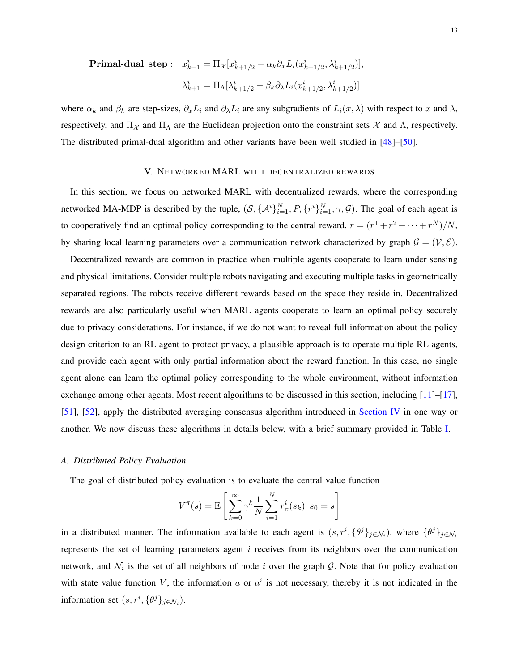$\textbf{Primal-dual step}:\;\; x_{k+1}^i = \Pi_{\mathcal{X}}[x_{k+1/2}^i - \alpha_k \partial_x L_i (x_{k+1/2}^i, \lambda_{k+1/2}^i)],$  $\lambda_{k+1}^i = \Pi_\Lambda [\lambda_{k+1/2}^i - \beta_k \partial_\lambda L_i(x_{k+1/2}^i, \lambda_{k+1/2}^i)]$ 

where  $\alpha_k$  and  $\beta_k$  are step-sizes,  $\partial_x L_i$  and  $\partial_\lambda L_i$  are any subgradients of  $L_i(x, \lambda)$  with respect to x and  $\lambda$ , respectively, and  $\Pi_{\mathcal{X}}$  and  $\Pi_{\Lambda}$  are the Euclidean projection onto the constraint sets  $\mathcal{X}$  and  $\Lambda$ , respectively. The distributed primal-dual algorithm and other variants have been well studied in [\[48\]](#page-21-19)–[\[50\]](#page-21-20).

## V. NETWORKED MARL WITH DECENTRALIZED REWARDS

In this section, we focus on networked MARL with decentralized rewards, where the corresponding networked MA-MDP is described by the tuple,  $(S, \{A^i\}_{i=1}^N, P, \{r^i\}_{i=1}^N, \gamma, G)$ . The goal of each agent is to cooperatively find an optimal policy corresponding to the central reward,  $r = (r^1 + r^2 + \cdots + r^N)/N$ , by sharing local learning parameters over a communication network characterized by graph  $G = (V, \mathcal{E})$ .

Decentralized rewards are common in practice when multiple agents cooperate to learn under sensing and physical limitations. Consider multiple robots navigating and executing multiple tasks in geometrically separated regions. The robots receive different rewards based on the space they reside in. Decentralized rewards are also particularly useful when MARL agents cooperate to learn an optimal policy securely due to privacy considerations. For instance, if we do not want to reveal full information about the policy design criterion to an RL agent to protect privacy, a plausible approach is to operate multiple RL agents, and provide each agent with only partial information about the reward function. In this case, no single agent alone can learn the optimal policy corresponding to the whole environment, without information exchange among other agents. Most recent algorithms to be discussed in this section, including [\[11\]](#page-20-2)–[\[17\]](#page-20-6), [\[51\]](#page-22-0), [\[52\]](#page-22-1), apply the distributed averaging consensus algorithm introduced in [Section IV](#page-9-0) in one way or another. We now discuss these algorithms in details below, with a brief summary provided in Table [I.](#page-13-0)

# *A. Distributed Policy Evaluation*

The goal of distributed policy evaluation is to evaluate the central value function

$$
V^{\pi}(s) = \mathbb{E}\left[\sum_{k=0}^{\infty} \gamma^k \frac{1}{N} \sum_{i=1}^{N} r_{\pi}^i(s_k)\right| s_0 = s\right]
$$

in a distributed manner. The information available to each agent is  $(s, r^i, {\theta^j}_{j \in \mathcal{N}_i})$ , where  ${\theta^j}_{j \in \mathcal{N}_i}$ represents the set of learning parameters agent  $i$  receives from its neighbors over the communication network, and  $\mathcal{N}_i$  is the set of all neighbors of node i over the graph G. Note that for policy evaluation with state value function V, the information a or  $a^i$  is not necessary, thereby it is not indicated in the information set  $(s, r^i, {\theta^j}_{j \in \mathcal{N}_i})$ .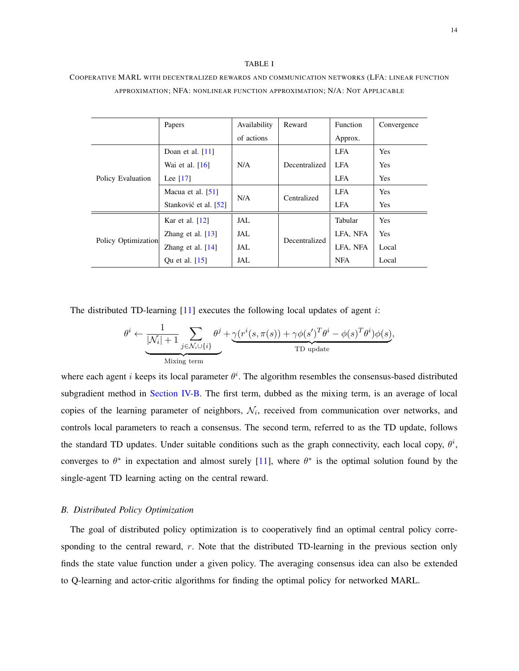#### TABLE I

|                     | Papers                | Availability | Reward        | <b>Function</b> | Convergence |
|---------------------|-----------------------|--------------|---------------|-----------------|-------------|
|                     |                       | of actions   |               | Approx.         |             |
| Policy Evaluation   | Doan et al. $[11]$    | N/A          | Decentralized | <b>LFA</b>      | Yes         |
|                     | Wai et al. $[16]$     |              |               | <b>LFA</b>      | <b>Yes</b>  |
|                     | Lee $[17]$            |              |               | <b>LFA</b>      | Yes         |
|                     | Macua et al. $[51]$   | N/A          | Centralized   | <b>LFA</b>      | <b>Yes</b>  |
|                     | Stanković et al. [52] |              |               | <b>LFA</b>      | Yes         |
| Policy Optimization | Kar et al. $[12]$     | JAL          | Decentralized | Tabular         | <b>Yes</b>  |
|                     | Zhang et al. $[13]$   | JAL          |               | LFA, NFA        | Yes         |
|                     | Zhang et al. $[14]$   | JAL          |               | LFA, NFA        | Local       |
|                     | Qu et al. [15]        | JAL          |               | <b>NFA</b>      | Local       |

# <span id="page-13-0"></span>COOPERATIVE MARL WITH DECENTRALIZED REWARDS AND COMMUNICATION NETWORKS (LFA: LINEAR FUNCTION APPROXIMATION; NFA: NONLINEAR FUNCTION APPROXIMATION; N/A: NOT APPLICABLE

The distributed TD-learning  $[11]$  executes the following local updates of agent *i*:

$$
\theta^{i} \leftarrow \underbrace{\frac{1}{|\mathcal{N}_{i}|+1} \sum_{j \in \mathcal{N}_{i} \cup \{i\}} \theta^{j}}_{\text{Mixing term}} + \underbrace{\gamma(r^{i}(s, \pi(s)) + \gamma \phi(s')^{T} \theta^{i} - \phi(s)^{T} \theta^{i}) \phi(s)}_{\text{TD update}},
$$

where each agent *i* keeps its local parameter  $\theta^i$ . The algorithm resembles the consensus-based distributed subgradient method in [Section IV-B.](#page-10-1) The first term, dubbed as the mixing term, is an average of local copies of the learning parameter of neighbors,  $\mathcal{N}_i$ , received from communication over networks, and controls local parameters to reach a consensus. The second term, referred to as the TD update, follows the standard TD updates. Under suitable conditions such as the graph connectivity, each local copy,  $\theta^i$ , converges to  $\theta^*$  in expectation and almost surely [\[11\]](#page-20-2), where  $\theta^*$  is the optimal solution found by the single-agent TD learning acting on the central reward.

# *B. Distributed Policy Optimization*

The goal of distributed policy optimization is to cooperatively find an optimal central policy corresponding to the central reward, r. Note that the distributed TD-learning in the previous section only finds the state value function under a given policy. The averaging consensus idea can also be extended to Q-learning and actor-critic algorithms for finding the optimal policy for networked MARL.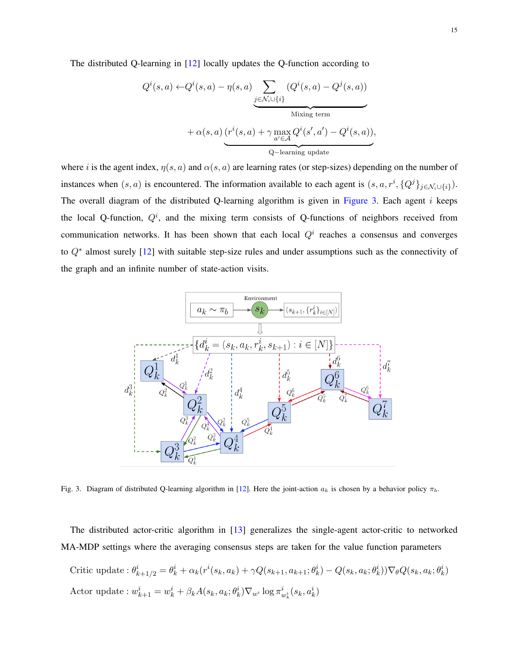The distributed Q-learning in [\[12\]](#page-20-3) locally updates the Q-function according to

$$
Q^{i}(s, a) \leftarrow Q^{i}(s, a) - \eta(s, a) \underbrace{\sum_{j \in \mathcal{N}_{i} \cup \{i\}} (Q^{i}(s, a) - Q^{j}(s, a))}_{\text{Mixing term}}
$$

$$
+ \alpha(s, a) \underbrace{(r^{i}(s, a) + \gamma \max_{a' \in \mathcal{A}} Q^{i}(s', a') - Q^{i}(s, a))}_{\text{Q-learning update}},
$$

where i is the agent index,  $\eta(s, a)$  and  $\alpha(s, a)$  are learning rates (or step-sizes) depending on the number of instances when  $(s, a)$  is encountered. The information available to each agent is  $(s, a, r^i, \{Q^j\}_{j \in \mathcal{N}_i \cup \{i\}})$ . The overall diagram of the distributed Q-learning algorithm is given in [Figure 3.](#page-14-0) Each agent i keeps the local Q-function,  $Q^i$ , and the mixing term consists of Q-functions of neighbors received from communication networks. It has been shown that each local  $Q<sup>i</sup>$  reaches a consensus and converges to Q<sup>∗</sup> almost surely [\[12\]](#page-20-3) with suitable step-size rules and under assumptions such as the connectivity of the graph and an infinite number of state-action visits.

<span id="page-14-0"></span>

Fig. 3. Diagram of distributed Q-learning algorithm in [\[12\]](#page-20-3). Here the joint-action  $a_k$  is chosen by a behavior policy  $\pi_b$ .

The distributed actor-critic algorithm in [\[13\]](#page-20-4) generalizes the single-agent actor-critic to networked MA-MDP settings where the averaging consensus steps are taken for the value function parameters

Critic update :  $\theta_{k+1/2}^i = \theta_k^i + \alpha_k (r^i(s_k, a_k) + \gamma Q(s_{k+1}, a_{k+1}; \theta_k^i) - Q(s_k, a_k; \theta_k^i)) \nabla_{\theta} Q(s_k, a_k; \theta_k^i)$ Actor update :  $w_{k+1}^i = w_k^i + \beta_k A(s_k, a_k; \theta_k^i) \nabla_{w_i} \log \pi_{w_k^i}^i(s_k, a_k^i)$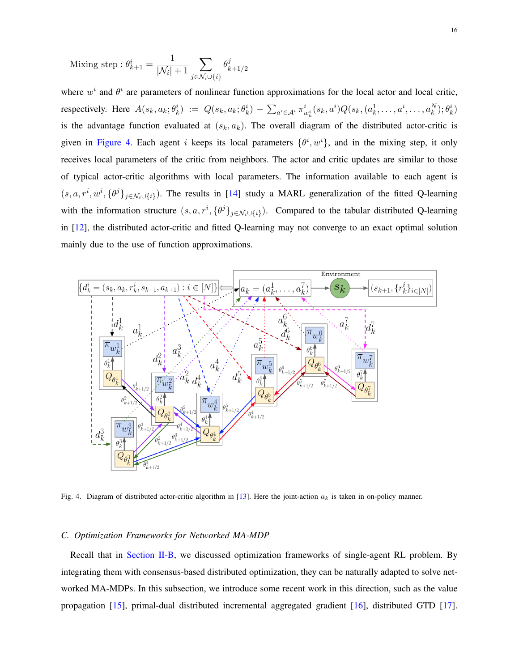Mixing step : 
$$
\theta_{k+1}^i = \frac{1}{|\mathcal{N}_i| + 1} \sum_{j \in \mathcal{N}_i \cup \{i\}} \theta_{k+1/2}^j
$$

where  $w^i$  and  $\theta^i$  are parameters of nonlinear function approximations for the local actor and local critic, respectively. Here  $A(s_k, a_k; \theta_k^i) := Q(s_k, a_k; \theta_k^i) - \sum_{a^i \in A^i} \pi_{w_k^i}^i(s_k, a^i) Q(s_k, (a_k^1, \dots, a^i, \dots, a_k^N); \theta_k^i)$ is the advantage function evaluated at  $(s_k, a_k)$ . The overall diagram of the distributed actor-critic is given in [Figure 4.](#page-15-0) Each agent i keeps its local parameters  $\{\theta^i, w^i\}$ , and in the mixing step, it only receives local parameters of the critic from neighbors. The actor and critic updates are similar to those of typical actor-critic algorithms with local parameters. The information available to each agent is  $(s, a, r^i, w^i, \{\theta^j\}_{j \in \mathcal{N}_i \cup \{i\}})$ . The results in [\[14\]](#page-20-5) study a MARL generalization of the fitted Q-learning with the information structure  $(s, a, r^i, {\theta^j}_{j \in \mathcal{N}_i \cup \{i\}})$ . Compared to the tabular distributed Q-learning in [\[12\]](#page-20-3), the distributed actor-critic and fitted Q-learning may not converge to an exact optimal solution mainly due to the use of function approximations.

![](_page_15_Figure_2.jpeg)

<span id="page-15-0"></span>Fig. 4. Diagram of distributed actor-critic algorithm in [\[13\]](#page-20-4). Here the joint-action  $a_k$  is taken in on-policy manner.

## *C. Optimization Frameworks for Networked MA-MDP*

Recall that in [Section II-B,](#page-5-2) we discussed optimization frameworks of single-agent RL problem. By integrating them with consensus-based distributed optimization, they can be naturally adapted to solve networked MA-MDPs. In this subsection, we introduce some recent work in this direction, such as the value propagation [\[15\]](#page-20-17), primal-dual distributed incremental aggregated gradient [\[16\]](#page-20-16), distributed GTD [\[17\]](#page-20-6).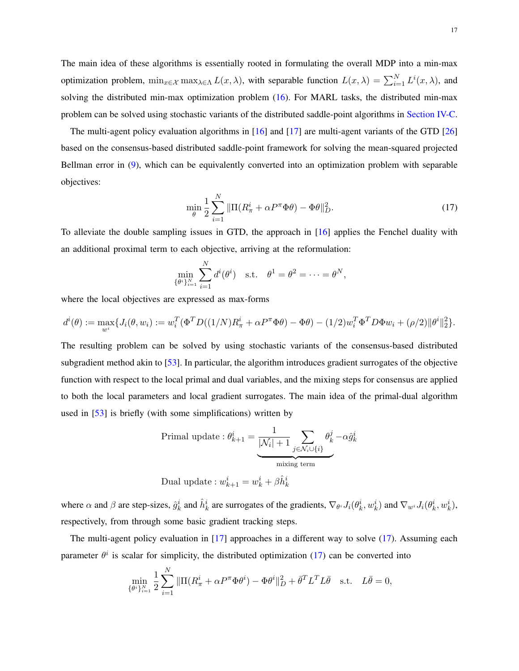The main idea of these algorithms is essentially rooted in formulating the overall MDP into a min-max optimization problem,  $\min_{x \in \mathcal{X}} \max_{\lambda \in \Lambda} L(x, \lambda)$ , with separable function  $L(x, \lambda) = \sum_{i=1}^{N} L^{i}(x, \lambda)$ , and solving the distributed min-max optimization problem [\(16\)](#page-11-1). For MARL tasks, the distributed min-max problem can be solved using stochastic variants of the distributed saddle-point algorithms in [Section IV-C.](#page-11-2)

The multi-agent policy evaluation algorithms in [\[16\]](#page-20-16) and [\[17\]](#page-20-6) are multi-agent variants of the GTD [\[26\]](#page-20-14) based on the consensus-based distributed saddle-point framework for solving the mean-squared projected Bellman error in [\(9\)](#page-6-1), which can be equivalently converted into an optimization problem with separable objectives:

<span id="page-16-0"></span>
$$
\min_{\theta} \frac{1}{2} \sum_{i=1}^{N} \|\Pi(R_{\pi}^{i} + \alpha P^{\pi} \Phi \theta) - \Phi \theta\|_{D}^{2}.
$$
 (17)

To alleviate the double sampling issues in GTD, the approach in [\[16\]](#page-20-16) applies the Fenchel duality with an additional proximal term to each objective, arriving at the reformulation:

$$
\min_{\{\theta^i\}_{i=1}^N} \sum_{i=1}^N d^i(\theta^i) \quad \text{s.t.} \quad \theta^1 = \theta^2 = \dots = \theta^N,
$$

where the local objectives are expressed as max-forms

$$
d^{i}(\theta) := \max_{w^{i}} \{ J_{i}(\theta, w_{i}) := w_{i}^{T}(\Phi^{T}D((1/N)R_{\pi}^{i} + \alpha P^{\pi}\Phi\theta) - \Phi\theta) - (1/2)w_{i}^{T}\Phi^{T}D\Phi w_{i} + (\rho/2)\|\theta^{i}\|_{2}^{2}\}.
$$

The resulting problem can be solved by using stochastic variants of the consensus-based distributed subgradient method akin to [\[53\]](#page-22-2). In particular, the algorithm introduces gradient surrogates of the objective function with respect to the local primal and dual variables, and the mixing steps for consensus are applied to both the local parameters and local gradient surrogates. The main idea of the primal-dual algorithm used in [\[53\]](#page-22-2) is briefly (with some simplifications) written by

Primal update : 
$$
\theta_{k+1}^i = \underbrace{\frac{1}{|\mathcal{N}_i|+1} \sum_{j \in \mathcal{N}_i \cup \{i\}} \theta_k^j}_{\text{mixing term}} -\alpha \hat{g}_k^i
$$

Dual update : 
$$
w_{k+1}^i = w_k^i + \beta \hat{h}_k^i
$$

where  $\alpha$  and  $\beta$  are step-sizes,  $\hat{g}_k^i$  and  $\hat{h}_k^i$  are surrogates of the gradients,  $\nabla_{\theta^i} J_i(\theta_k^i, w_k^i)$  and  $\nabla_{w^i} J_i(\theta_k^i, w_k^i)$ , respectively, from through some basic gradient tracking steps.

The multi-agent policy evaluation in  $[17]$  approaches in a different way to solve  $(17)$ . Assuming each parameter  $\theta^i$  is scalar for simplicity, the distributed optimization [\(17\)](#page-16-0) can be converted into

$$
\min_{\{\theta^i\}_{i=1}^N} \frac{1}{2} \sum_{i=1}^N \|\Pi(R^i_{\pi} + \alpha P^{\pi} \Phi \theta^i) - \Phi \theta^i\|_D^2 + \bar{\theta}^T L^T L \bar{\theta} \quad \text{s.t.} \quad L\bar{\theta} = 0,
$$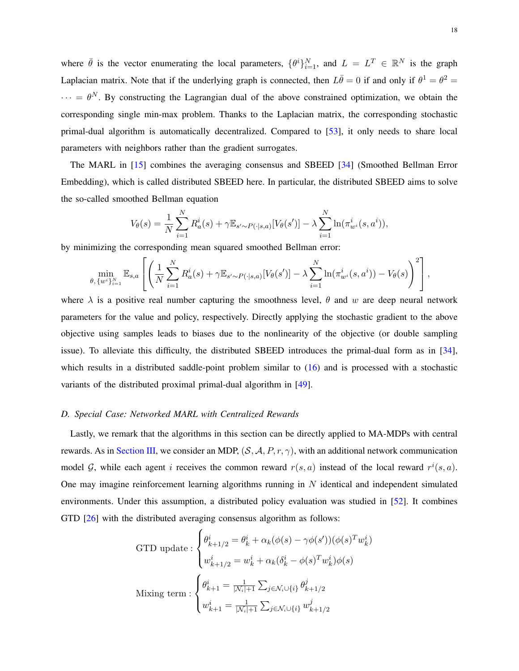where  $\bar{\theta}$  is the vector enumerating the local parameters,  $\{\theta^i\}_{i=1}^N$ , and  $L = L^T \in \mathbb{R}^N$  is the graph Laplacian matrix. Note that if the underlying graph is connected, then  $L\bar{\theta} = 0$  if and only if  $\theta^1 = \theta^2 = 0$  $\cdots = \theta^N$ . By constructing the Lagrangian dual of the above constrained optimization, we obtain the corresponding single min-max problem. Thanks to the Laplacian matrix, the corresponding stochastic primal-dual algorithm is automatically decentralized. Compared to [\[53\]](#page-22-2), it only needs to share local parameters with neighbors rather than the gradient surrogates.

The MARL in [\[15\]](#page-20-17) combines the averaging consensus and SBEED [\[34\]](#page-21-10) (Smoothed Bellman Error Embedding), which is called distributed SBEED here. In particular, the distributed SBEED aims to solve the so-called smoothed Bellman equation

$$
V_{\theta}(s) = \frac{1}{N} \sum_{i=1}^{N} R_a^i(s) + \gamma \mathbb{E}_{s' \sim P(\cdot|s,a)}[V_{\theta}(s')] - \lambda \sum_{i=1}^{N} \ln(\pi_{w^i}^i(s,a^i)),
$$

by minimizing the corresponding mean squared smoothed Bellman error:

$$
\min_{\theta, \{w^i\}_{i=1}^N} \mathbb{E}_{s,a} \left[ \left( \frac{1}{N} \sum_{i=1}^N R_a^i(s) + \gamma \mathbb{E}_{s' \sim P(\cdot|s,a)}[V_{\theta}(s')] - \lambda \sum_{i=1}^N \ln(\pi_{w^i}^i(s,a^i)) - V_{\theta}(s) \right)^2 \right],
$$

where  $\lambda$  is a positive real number capturing the smoothness level,  $\theta$  and w are deep neural network parameters for the value and policy, respectively. Directly applying the stochastic gradient to the above objective using samples leads to biases due to the nonlinearity of the objective (or double sampling issue). To alleviate this difficulty, the distributed SBEED introduces the primal-dual form as in [\[34\]](#page-21-10), which results in a distributed saddle-point problem similar to [\(16\)](#page-11-1) and is processed with a stochastic variants of the distributed proximal primal-dual algorithm in [\[49\]](#page-21-21).

# *D. Special Case: Networked MARL with Centralized Rewards*

Lastly, we remark that the algorithms in this section can be directly applied to MA-MDPs with central rewards. As in [Section III,](#page-7-0) we consider an MDP,  $(S, A, P, r, \gamma)$ , with an additional network communication model G, while each agent i receives the common reward  $r(s, a)$  instead of the local reward  $r^i(s, a)$ . One may imagine reinforcement learning algorithms running in  $N$  identical and independent simulated environments. Under this assumption, a distributed policy evaluation was studied in [\[52\]](#page-22-1). It combines GTD [\[26\]](#page-20-14) with the distributed averaging consensus algorithm as follows:

GTD update : 
$$
\begin{cases} \theta_{k+1/2}^i = \theta_k^i + \alpha_k(\phi(s) - \gamma\phi(s'))(\phi(s)^T w_k^i) \\ w_{k+1/2}^i = w_k^i + \alpha_k(\delta_k^i - \phi(s)^T w_k^i)\phi(s) \end{cases}
$$
  
Mixing term : 
$$
\begin{cases} \theta_{k+1}^i = \frac{1}{|N_i|+1} \sum_{j \in \mathcal{N}_i \cup \{i\}} \theta_{k+1/2}^j \\ w_{k+1}^i = \frac{1}{|N_i|+1} \sum_{j \in \mathcal{N}_i \cup \{i\}} w_{k+1/2}^j \end{cases}
$$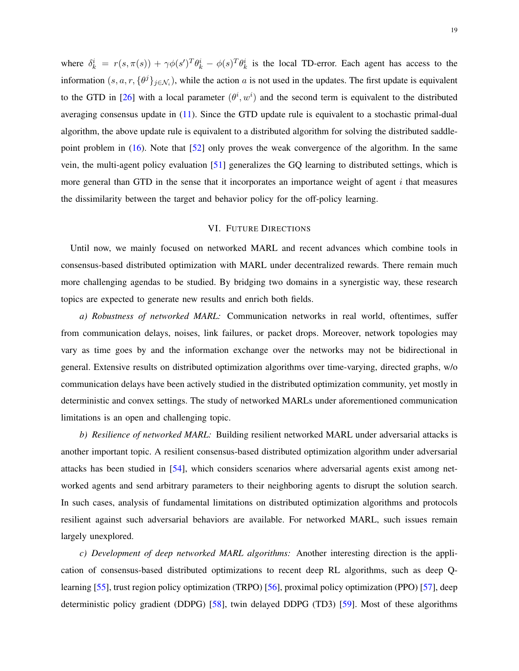where  $\delta_k^i = r(s, \pi(s)) + \gamma \phi(s')^T \theta_k^i - \phi(s)^T \theta_k^i$  is the local TD-error. Each agent has access to the information  $(s, a, r, \{\theta^j\}_{j \in \mathcal{N}_i})$ , while the action a is not used in the updates. The first update is equivalent to the GTD in [\[26\]](#page-20-14) with a local parameter  $(\theta^i, w^i)$  and the second term is equivalent to the distributed averaging consensus update in [\(11\)](#page-10-0). Since the GTD update rule is equivalent to a stochastic primal-dual algorithm, the above update rule is equivalent to a distributed algorithm for solving the distributed saddlepoint problem in [\(16\)](#page-11-1). Note that [\[52\]](#page-22-1) only proves the weak convergence of the algorithm. In the same vein, the multi-agent policy evaluation [\[51\]](#page-22-0) generalizes the GQ learning to distributed settings, which is more general than GTD in the sense that it incorporates an importance weight of agent  $i$  that measures the dissimilarity between the target and behavior policy for the off-policy learning.

# VI. FUTURE DIRECTIONS

Until now, we mainly focused on networked MARL and recent advances which combine tools in consensus-based distributed optimization with MARL under decentralized rewards. There remain much more challenging agendas to be studied. By bridging two domains in a synergistic way, these research topics are expected to generate new results and enrich both fields.

*a) Robustness of networked MARL:* Communication networks in real world, oftentimes, suffer from communication delays, noises, link failures, or packet drops. Moreover, network topologies may vary as time goes by and the information exchange over the networks may not be bidirectional in general. Extensive results on distributed optimization algorithms over time-varying, directed graphs, w/o communication delays have been actively studied in the distributed optimization community, yet mostly in deterministic and convex settings. The study of networked MARLs under aforementioned communication limitations is an open and challenging topic.

*b) Resilience of networked MARL:* Building resilient networked MARL under adversarial attacks is another important topic. A resilient consensus-based distributed optimization algorithm under adversarial attacks has been studied in [\[54\]](#page-22-3), which considers scenarios where adversarial agents exist among networked agents and send arbitrary parameters to their neighboring agents to disrupt the solution search. In such cases, analysis of fundamental limitations on distributed optimization algorithms and protocols resilient against such adversarial behaviors are available. For networked MARL, such issues remain largely unexplored.

*c) Development of deep networked MARL algorithms:* Another interesting direction is the application of consensus-based distributed optimizations to recent deep RL algorithms, such as deep Qlearning [\[55\]](#page-22-4), trust region policy optimization (TRPO) [\[56\]](#page-22-5), proximal policy optimization (PPO) [\[57\]](#page-22-6), deep deterministic policy gradient (DDPG) [\[58\]](#page-22-7), twin delayed DDPG (TD3) [\[59\]](#page-22-8). Most of these algorithms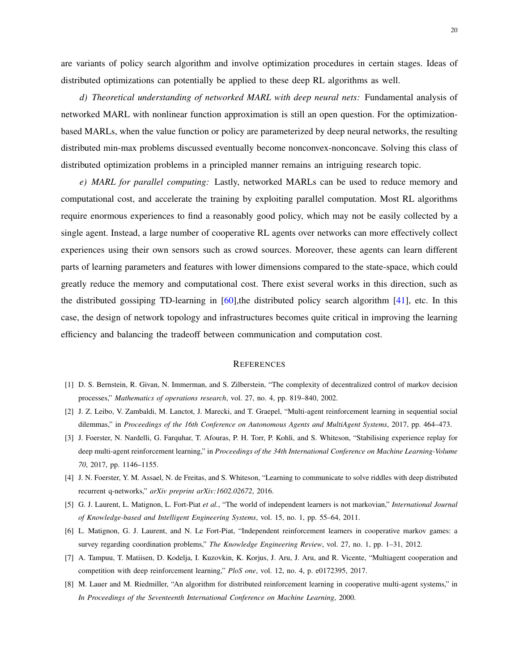are variants of policy search algorithm and involve optimization procedures in certain stages. Ideas of distributed optimizations can potentially be applied to these deep RL algorithms as well.

*d) Theoretical understanding of networked MARL with deep neural nets:* Fundamental analysis of networked MARL with nonlinear function approximation is still an open question. For the optimizationbased MARLs, when the value function or policy are parameterized by deep neural networks, the resulting distributed min-max problems discussed eventually become nonconvex-nonconcave. Solving this class of distributed optimization problems in a principled manner remains an intriguing research topic.

*e) MARL for parallel computing:* Lastly, networked MARLs can be used to reduce memory and computational cost, and accelerate the training by exploiting parallel computation. Most RL algorithms require enormous experiences to find a reasonably good policy, which may not be easily collected by a single agent. Instead, a large number of cooperative RL agents over networks can more effectively collect experiences using their own sensors such as crowd sources. Moreover, these agents can learn different parts of learning parameters and features with lower dimensions compared to the state-space, which could greatly reduce the memory and computational cost. There exist several works in this direction, such as the distributed gossiping TD-learning in  $[60]$ , the distributed policy search algorithm  $[41]$ , etc. In this case, the design of network topology and infrastructures becomes quite critical in improving the learning efficiency and balancing the tradeoff between communication and computation cost.

#### **REFERENCES**

- <span id="page-19-0"></span>[1] D. S. Bernstein, R. Givan, N. Immerman, and S. Zilberstein, "The complexity of decentralized control of markov decision processes," *Mathematics of operations research*, vol. 27, no. 4, pp. 819–840, 2002.
- <span id="page-19-1"></span>[2] J. Z. Leibo, V. Zambaldi, M. Lanctot, J. Marecki, and T. Graepel, "Multi-agent reinforcement learning in sequential social dilemmas," in *Proceedings of the 16th Conference on Autonomous Agents and MultiAgent Systems*, 2017, pp. 464–473.
- [3] J. Foerster, N. Nardelli, G. Farquhar, T. Afouras, P. H. Torr, P. Kohli, and S. Whiteson, "Stabilising experience replay for deep multi-agent reinforcement learning," in *Proceedings of the 34th International Conference on Machine Learning-Volume 70*, 2017, pp. 1146–1155.
- <span id="page-19-2"></span>[4] J. N. Foerster, Y. M. Assael, N. de Freitas, and S. Whiteson, "Learning to communicate to solve riddles with deep distributed recurrent q-networks," *arXiv preprint arXiv:1602.02672*, 2016.
- <span id="page-19-3"></span>[5] G. J. Laurent, L. Matignon, L. Fort-Piat *et al.*, "The world of independent learners is not markovian," *International Journal of Knowledge-based and Intelligent Engineering Systems*, vol. 15, no. 1, pp. 55–64, 2011.
- <span id="page-19-4"></span>[6] L. Matignon, G. J. Laurent, and N. Le Fort-Piat, "Independent reinforcement learners in cooperative markov games: a survey regarding coordination problems," *The Knowledge Engineering Review*, vol. 27, no. 1, pp. 1–31, 2012.
- <span id="page-19-5"></span>[7] A. Tampuu, T. Matiisen, D. Kodelja, I. Kuzovkin, K. Korjus, J. Aru, J. Aru, and R. Vicente, "Multiagent cooperation and competition with deep reinforcement learning," *PloS one*, vol. 12, no. 4, p. e0172395, 2017.
- [8] M. Lauer and M. Riedmiller, "An algorithm for distributed reinforcement learning in cooperative multi-agent systems," in *In Proceedings of the Seventeenth International Conference on Machine Learning*, 2000.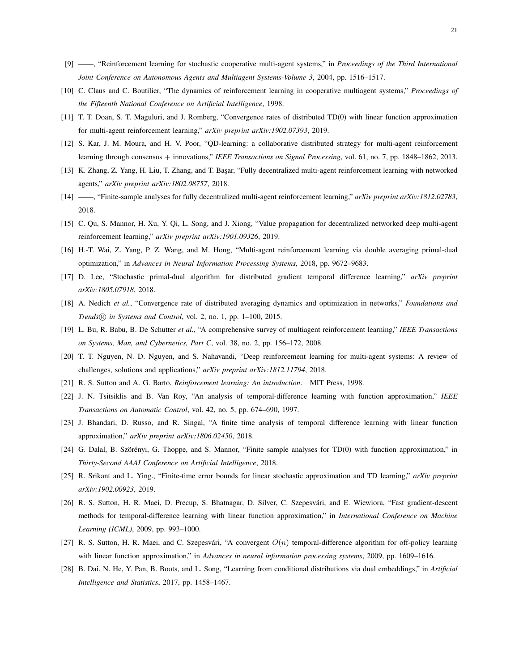- <span id="page-20-0"></span>[9] ——, "Reinforcement learning for stochastic cooperative multi-agent systems," in *Proceedings of the Third International Joint Conference on Autonomous Agents and Multiagent Systems-Volume 3*, 2004, pp. 1516–1517.
- <span id="page-20-1"></span>[10] C. Claus and C. Boutilier, "The dynamics of reinforcement learning in cooperative multiagent systems," *Proceedings of the Fifteenth National Conference on Artificial Intelligence*, 1998.
- <span id="page-20-2"></span>[11] T. T. Doan, S. T. Maguluri, and J. Romberg, "Convergence rates of distributed TD(0) with linear function approximation for multi-agent reinforcement learning," *arXiv preprint arXiv:1902.07393*, 2019.
- <span id="page-20-3"></span>[12] S. Kar, J. M. Moura, and H. V. Poor, "QD-learning: a collaborative distributed strategy for multi-agent reinforcement learning through consensus + innovations," *IEEE Transactions on Signal Processing*, vol. 61, no. 7, pp. 1848–1862, 2013.
- <span id="page-20-4"></span>[13] K. Zhang, Z. Yang, H. Liu, T. Zhang, and T. Başar, "Fully decentralized multi-agent reinforcement learning with networked agents," *arXiv preprint arXiv:1802.08757*, 2018.
- <span id="page-20-5"></span>[14] ——, "Finite-sample analyses for fully decentralized multi-agent reinforcement learning," *arXiv preprint arXiv:1812.02783*, 2018.
- <span id="page-20-17"></span>[15] C. Qu, S. Mannor, H. Xu, Y. Qi, L. Song, and J. Xiong, "Value propagation for decentralized networked deep multi-agent reinforcement learning," *arXiv preprint arXiv:1901.09326*, 2019.
- <span id="page-20-16"></span>[16] H.-T. Wai, Z. Yang, P. Z. Wang, and M. Hong, "Multi-agent reinforcement learning via double averaging primal-dual optimization," in *Advances in Neural Information Processing Systems*, 2018, pp. 9672–9683.
- <span id="page-20-6"></span>[17] D. Lee, "Stochastic primal-dual algorithm for distributed gradient temporal difference learning," *arXiv preprint arXiv:1805.07918*, 2018.
- <span id="page-20-7"></span>[18] A. Nedich *et al.*, "Convergence rate of distributed averaging dynamics and optimization in networks," *Foundations and Trends* <sup>R</sup> *in Systems and Control*, vol. 2, no. 1, pp. 1–100, 2015.
- <span id="page-20-8"></span>[19] L. Bu, R. Babu, B. De Schutter *et al.*, "A comprehensive survey of multiagent reinforcement learning," *IEEE Transactions on Systems, Man, and Cybernetics, Part C*, vol. 38, no. 2, pp. 156–172, 2008.
- <span id="page-20-9"></span>[20] T. T. Nguyen, N. D. Nguyen, and S. Nahavandi, "Deep reinforcement learning for multi-agent systems: A review of challenges, solutions and applications," *arXiv preprint arXiv:1812.11794*, 2018.
- <span id="page-20-10"></span>[21] R. S. Sutton and A. G. Barto, *Reinforcement learning: An introduction*. MIT Press, 1998.
- <span id="page-20-11"></span>[22] J. N. Tsitsiklis and B. Van Roy, "An analysis of temporal-difference learning with function approximation," *IEEE Transactions on Automatic Control*, vol. 42, no. 5, pp. 674–690, 1997.
- <span id="page-20-12"></span>[23] J. Bhandari, D. Russo, and R. Singal, "A finite time analysis of temporal difference learning with linear function approximation," *arXiv preprint arXiv:1806.02450*, 2018.
- $[24]$  G. Dalal, B. Szörényi, G. Thoppe, and S. Mannor, "Finite sample analyses for TD(0) with function approximation," in *Thirty-Second AAAI Conference on Artificial Intelligence*, 2018.
- <span id="page-20-13"></span>[25] R. Srikant and L. Ying., "Finite-time error bounds for linear stochastic approximation and TD learning," *arXiv preprint arXiv:1902.00923*, 2019.
- <span id="page-20-14"></span>[26] R. S. Sutton, H. R. Maei, D. Precup, S. Bhatnagar, D. Silver, C. Szepesvari, and E. Wiewiora, "Fast gradient-descent ´ methods for temporal-difference learning with linear function approximation," in *International Conference on Machine Learning (ICML)*, 2009, pp. 993–1000.
- [27] R. S. Sutton, H. R. Maei, and C. Szepesvári, "A convergent  $O(n)$  temporal-difference algorithm for off-policy learning with linear function approximation," in *Advances in neural information processing systems*, 2009, pp. 1609–1616.
- <span id="page-20-15"></span>[28] B. Dai, N. He, Y. Pan, B. Boots, and L. Song, "Learning from conditional distributions via dual embeddings," in *Artificial Intelligence and Statistics*, 2017, pp. 1458–1467.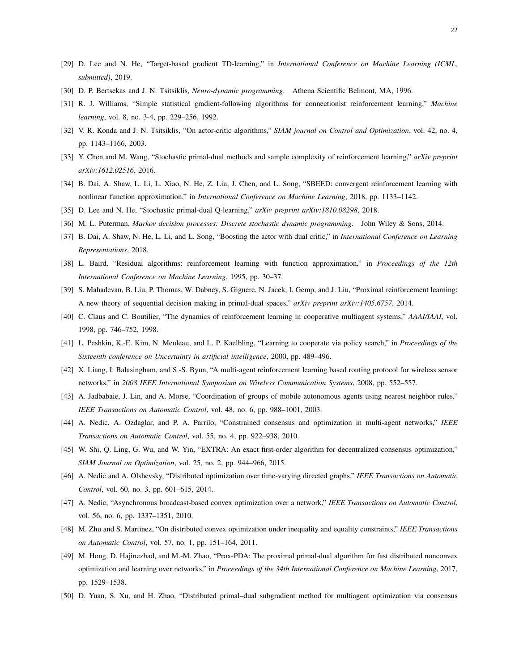- <span id="page-21-0"></span>[29] D. Lee and N. He, "Target-based gradient TD-learning," in *International Conference on Machine Learning (ICML, submitted)*, 2019.
- <span id="page-21-1"></span>[30] D. P. Bertsekas and J. N. Tsitsiklis, *Neuro-dynamic programming*. Athena Scientific Belmont, MA, 1996.
- <span id="page-21-2"></span>[31] R. J. Williams, "Simple statistical gradient-following algorithms for connectionist reinforcement learning," *Machine learning*, vol. 8, no. 3-4, pp. 229–256, 1992.
- <span id="page-21-3"></span>[32] V. R. Konda and J. N. Tsitsiklis, "On actor-critic algorithms," *SIAM journal on Control and Optimization*, vol. 42, no. 4, pp. 1143–1166, 2003.
- <span id="page-21-4"></span>[33] Y. Chen and M. Wang, "Stochastic primal-dual methods and sample complexity of reinforcement learning," *arXiv preprint arXiv:1612.02516*, 2016.
- <span id="page-21-10"></span>[34] B. Dai, A. Shaw, L. Li, L. Xiao, N. He, Z. Liu, J. Chen, and L. Song, "SBEED: convergent reinforcement learning with nonlinear function approximation," in *International Conference on Machine Learning*, 2018, pp. 1133–1142.
- <span id="page-21-5"></span>[35] D. Lee and N. He, "Stochastic primal-dual Q-learning," *arXiv preprint arXiv:1810.08298*, 2018.
- <span id="page-21-6"></span>[36] M. L. Puterman, *Markov decision processes: Discrete stochastic dynamic programming*. John Wiley & Sons, 2014.
- <span id="page-21-7"></span>[37] B. Dai, A. Shaw, N. He, L. Li, and L. Song, "Boosting the actor with dual critic," in *International Conference on Learning Representations*, 2018.
- <span id="page-21-8"></span>[38] L. Baird, "Residual algorithms: reinforcement learning with function approximation," in *Proceedings of the 12th International Conference on Machine Learning*, 1995, pp. 30–37.
- <span id="page-21-9"></span>[39] S. Mahadevan, B. Liu, P. Thomas, W. Dabney, S. Giguere, N. Jacek, I. Gemp, and J. Liu, "Proximal reinforcement learning: A new theory of sequential decision making in primal-dual spaces," *arXiv preprint arXiv:1405.6757*, 2014.
- <span id="page-21-11"></span>[40] C. Claus and C. Boutilier, "The dynamics of reinforcement learning in cooperative multiagent systems," *AAAI/IAAI*, vol. 1998, pp. 746–752, 1998.
- <span id="page-21-12"></span>[41] L. Peshkin, K.-E. Kim, N. Meuleau, and L. P. Kaelbling, "Learning to cooperate via policy search," in *Proceedings of the Sixteenth conference on Uncertainty in artificial intelligence*, 2000, pp. 489–496.
- <span id="page-21-13"></span>[42] X. Liang, I. Balasingham, and S.-S. Byun, "A multi-agent reinforcement learning based routing protocol for wireless sensor networks," in *2008 IEEE International Symposium on Wireless Communication Systems*, 2008, pp. 552–557.
- <span id="page-21-14"></span>[43] A. Jadbabaie, J. Lin, and A. Morse, "Coordination of groups of mobile autonomous agents using nearest neighbor rules," *IEEE Transactions on Automatic Control*, vol. 48, no. 6, pp. 988–1001, 2003.
- <span id="page-21-15"></span>[44] A. Nedic, A. Ozdaglar, and P. A. Parrilo, "Constrained consensus and optimization in multi-agent networks," *IEEE Transactions on Automatic Control*, vol. 55, no. 4, pp. 922–938, 2010.
- <span id="page-21-16"></span>[45] W. Shi, Q. Ling, G. Wu, and W. Yin, "EXTRA: An exact first-order algorithm for decentralized consensus optimization," *SIAM Journal on Optimization*, vol. 25, no. 2, pp. 944–966, 2015.
- <span id="page-21-17"></span>[46] A. Nedic and A. Olshevsky, "Distributed optimization over time-varying directed graphs," ´ *IEEE Transactions on Automatic Control*, vol. 60, no. 3, pp. 601–615, 2014.
- <span id="page-21-18"></span>[47] A. Nedic, "Asynchronous broadcast-based convex optimization over a network," *IEEE Transactions on Automatic Control*, vol. 56, no. 6, pp. 1337–1351, 2010.
- <span id="page-21-19"></span>[48] M. Zhu and S. Mart´ınez, "On distributed convex optimization under inequality and equality constraints," *IEEE Transactions on Automatic Control*, vol. 57, no. 1, pp. 151–164, 2011.
- <span id="page-21-21"></span>[49] M. Hong, D. Hajinezhad, and M.-M. Zhao, "Prox-PDA: The proximal primal-dual algorithm for fast distributed nonconvex optimization and learning over networks," in *Proceedings of the 34th International Conference on Machine Learning*, 2017, pp. 1529–1538.
- <span id="page-21-20"></span>[50] D. Yuan, S. Xu, and H. Zhao, "Distributed primal–dual subgradient method for multiagent optimization via consensus